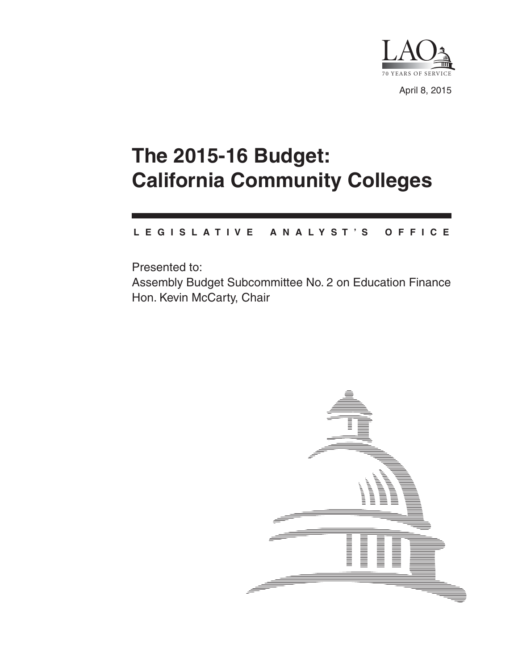

April 8, 2015

# **The 2015-16 Budget: California Community Colleges**

#### **L E G I S L A T I V E A N A L Y S T ' S O F F I C E**

Presented to: Assembly Budget Subcommittee No. 2 on Education Finance Hon. Kevin McCarty, Chair

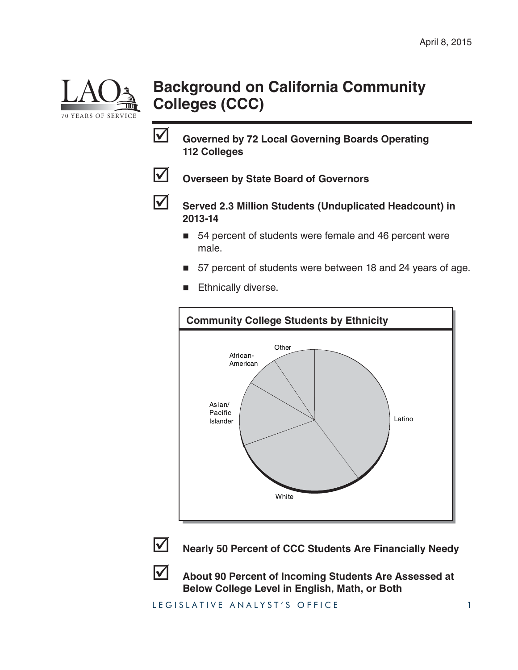

## **Background on California Community Colleges (CCC)**

 **Governed by 72 Local Governing Boards Operating 112 Colleges**



**V** Overseen by State Board of Governors



 **Served 2.3 Million Students (Unduplicated Headcount) in 2013-14**

- 54 percent of students were female and 46 percent were male.
- 57 percent of students were between 18 and 24 years of age.
- Ethnically diverse.





**Nearly 50 Percent of CCC Students Are Financially Needy**



 **About 90 Percent of Incoming Students Are Assessed at Below College Level in English, Math, or Both**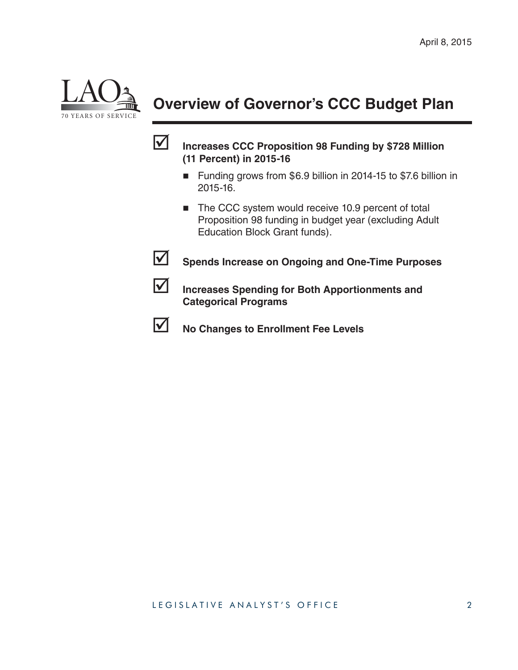

## **Overview of Governor's CCC Budget Plan**



#### **Increases CCC Proposition 98 Funding by \$728 Million (11 Percent) in 2015-16**

- Funding grows from \$6.9 billion in 2014-15 to \$7.6 billion in 2015-16.
- The CCC system would receive 10.9 percent of total Proposition 98 funding in budget year (excluding Adult Education Block Grant funds).



**Spends Increase on Ongoing and One-Time Purposes** 



**ID Increases Spending for Both Apportionments and Categorical Programs**



**No Changes to Enrollment Fee Levels**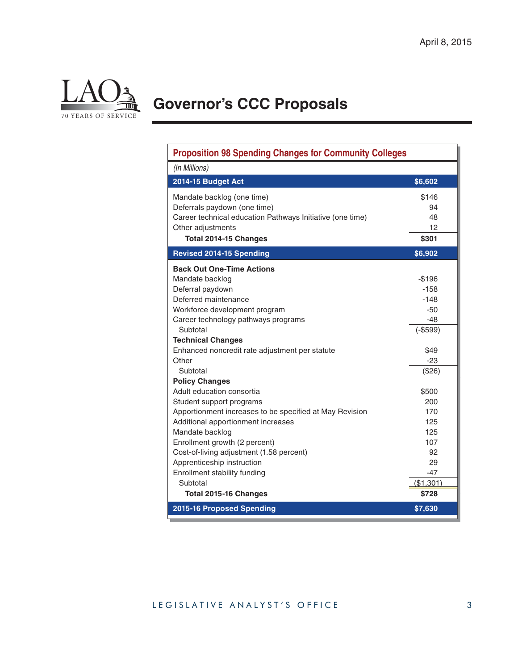

# **Governor's CCC Proposals**

| <b>Proposition 98 Spending Changes for Community Colleges</b> |                    |  |  |  |
|---------------------------------------------------------------|--------------------|--|--|--|
| (In Millions)                                                 |                    |  |  |  |
| 2014-15 Budget Act                                            | \$6,602            |  |  |  |
| Mandate backlog (one time)                                    | \$146              |  |  |  |
| Deferrals paydown (one time)                                  | 94                 |  |  |  |
| Career technical education Pathways Initiative (one time)     | 48                 |  |  |  |
| Other adjustments                                             | 12                 |  |  |  |
| Total 2014-15 Changes                                         | \$301              |  |  |  |
| <b>Revised 2014-15 Spending</b>                               | \$6,902            |  |  |  |
| <b>Back Out One-Time Actions</b>                              |                    |  |  |  |
| Mandate backlog                                               | $-$196$            |  |  |  |
| Deferral paydown                                              | $-158$             |  |  |  |
| Deferred maintenance                                          | $-148$             |  |  |  |
| Workforce development program                                 | -50                |  |  |  |
| Career technology pathways programs                           | -48                |  |  |  |
| Subtotal                                                      | $(-$599)$          |  |  |  |
| <b>Technical Changes</b>                                      |                    |  |  |  |
| Enhanced noncredit rate adjustment per statute                | \$49               |  |  |  |
| Other                                                         | $-23$              |  |  |  |
| Subtotal                                                      | (\$26)             |  |  |  |
| <b>Policy Changes</b>                                         |                    |  |  |  |
| Adult education consortia                                     | \$500              |  |  |  |
| Student support programs                                      | 200                |  |  |  |
| Apportionment increases to be specified at May Revision       | 170                |  |  |  |
| Additional apportionment increases                            | 125                |  |  |  |
| Mandate backlog                                               | 125                |  |  |  |
| Enrollment growth (2 percent)                                 | 107                |  |  |  |
| Cost-of-living adjustment (1.58 percent)                      | 92                 |  |  |  |
| Apprenticeship instruction                                    | 29                 |  |  |  |
| Enrollment stability funding<br>Subtotal                      | $-47$<br>(\$1,301) |  |  |  |
| Total 2015-16 Changes                                         | \$728              |  |  |  |
| 2015-16 Proposed Spending                                     | \$7,630            |  |  |  |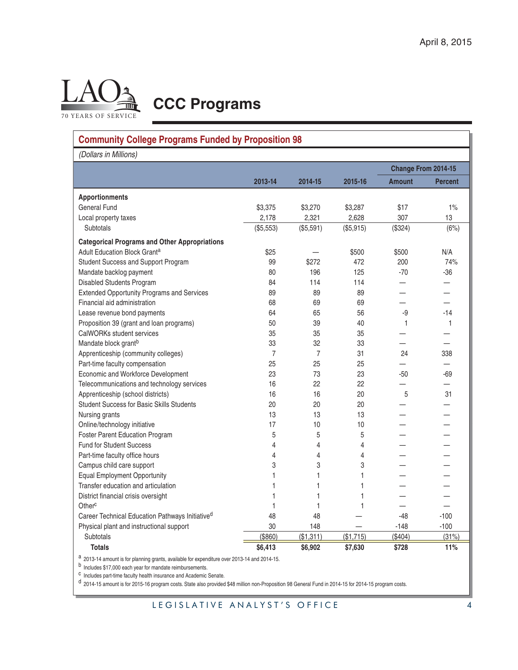

**CCC Programs**

## **Community College Programs Funded by Proposition 98**

*(Dollars in Millions)*

| וטווישעו ווו טווערן ווי                              |                |                |           | Change From 2014-15      |                |  |
|------------------------------------------------------|----------------|----------------|-----------|--------------------------|----------------|--|
|                                                      | 2013-14        | 2014-15        | 2015-16   | <b>Amount</b>            | <b>Percent</b> |  |
|                                                      |                |                |           |                          |                |  |
| <b>Apportionments</b>                                |                |                |           |                          |                |  |
| <b>General Fund</b>                                  | \$3,375        | \$3,270        | \$3,287   | \$17                     | 1%             |  |
| Local property taxes                                 | 2,178          | 2.321          | 2,628     | 307                      | 13             |  |
| Subtotals                                            | (\$5,553)      | (\$5,591)      | (\$5,915) | (\$324)                  | (6%)           |  |
| <b>Categorical Programs and Other Appropriations</b> |                |                |           |                          |                |  |
| Adult Education Block Grant <sup>a</sup>             | \$25           |                | \$500     | \$500                    | N/A            |  |
| Student Success and Support Program                  | 99             | \$272          | 472       | 200                      | 74%            |  |
| Mandate backlog payment                              | 80             | 196            | 125       | $-70$                    | $-36$          |  |
| Disabled Students Program                            | 84             | 114            | 114       |                          |                |  |
| <b>Extended Opportunity Programs and Services</b>    | 89             | 89             | 89        |                          |                |  |
| Financial aid administration                         | 68             | 69             | 69        |                          |                |  |
| Lease revenue bond payments                          | 64             | 65             | 56        | -9                       | $-14$          |  |
| Proposition 39 (grant and loan programs)             | 50             | 39             | 40        | 1                        | 1              |  |
| CalWORKs student services                            | 35             | 35             | 35        |                          |                |  |
| Mandate block grant <sup>b</sup>                     | 33             | 32             | 33        |                          |                |  |
| Apprenticeship (community colleges)                  | $\overline{7}$ | $\overline{7}$ | 31        | 24                       | 338            |  |
| Part-time faculty compensation                       | 25             | 25             | 25        |                          |                |  |
| Economic and Workforce Development                   | 23             | 73             | 23        | $-50$                    | -69            |  |
| Telecommunications and technology services           | 16             | 22             | 22        | $\overline{\phantom{0}}$ |                |  |
| Apprenticeship (school districts)                    | 16             | 16             | 20        | 5                        | 31             |  |
| <b>Student Success for Basic Skills Students</b>     | 20             | 20             | 20        |                          |                |  |
| Nursing grants                                       | 13             | 13             | 13        |                          |                |  |
| Online/technology initiative                         | 17             | 10             | 10        |                          |                |  |
| <b>Foster Parent Education Program</b>               | 5              | 5              | 5         |                          |                |  |
| <b>Fund for Student Success</b>                      | 4              | $\overline{4}$ | 4         |                          |                |  |
| Part-time faculty office hours                       | 4              | 4              | 4         |                          |                |  |
| Campus child care support                            | 3              | 3              | 3         |                          |                |  |
| <b>Equal Employment Opportunity</b>                  | 1              | 1              | 1         |                          |                |  |
| Transfer education and articulation                  | 1              | 1              | 1         |                          |                |  |
| District financial crisis oversight                  | 1              | 1              | 1         |                          |                |  |
| Other <sup>c</sup>                                   | 1              | 1              | 1         |                          |                |  |
| Career Technical Education Pathways Initiatived      | 48             | 48             |           | $-48$                    | $-100$         |  |
| Physical plant and instructional support             | 30             | 148            |           | $-148$                   | $-100$         |  |
| Subtotals                                            | (\$860)        | (\$1,311)      | (\$1,715) | (\$404)                  | (31%)          |  |
| <b>Totals</b>                                        | \$6,413        | \$6,902        | \$7,630   | \$728                    | 11%            |  |

a 2013-14 amount is for planning grants, available for expenditure over 2013-14 and 2014-15.

b Includes \$17,000 each year for mandate reimbursements.

c Includes part-time faculty health insurance and Academic Senate.

d 2014-15 amount is for 2015-16 program costs. State also provided \$48 million non-Proposition 98 General Fund in 2014-15 for 2014-15 program costs.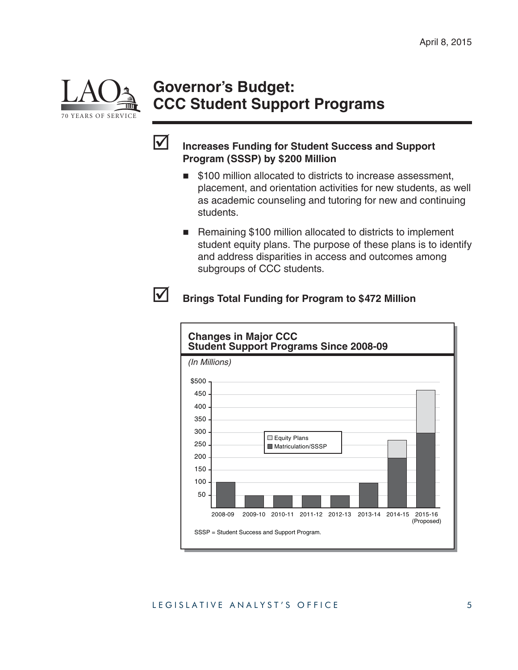

## **Governor's Budget: CCC Student Support Programs**



#### **Increases Funding for Student Success and Support Program (SSSP) by \$200 Million**

- \$100 million allocated to districts to increase assessment, placement, and orientation activities for new students, as well as academic counseling and tutoring for new and continuing students.
- Remaining \$100 million allocated to districts to implement student equity plans. The purpose of these plans is to identify and address disparities in access and outcomes among subgroups of CCC students.

#### **Brings Total Funding for Program to \$472 Million**

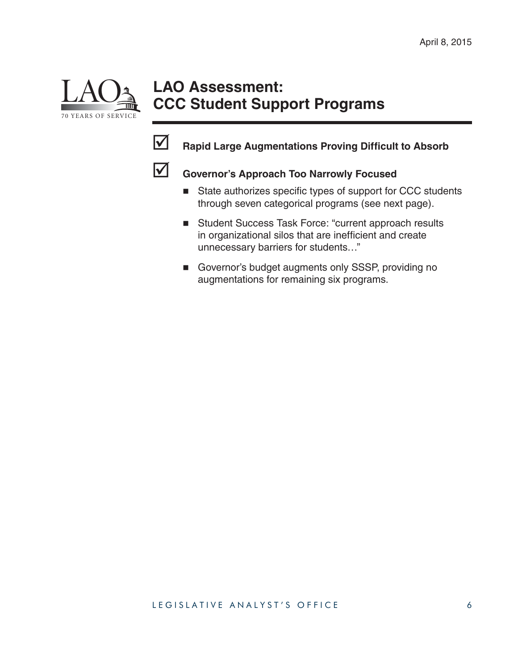

## **LAO Assessment: CCC Student Support Programs**



## **Rapid Large Augmentations Proving Difficult to Absorb**



## **Governor's Approach Too Narrowly Focused**

- $\blacksquare$  State authorizes specific types of support for CCC students through seven categorical programs (see next page).
- Student Success Task Force: "current approach results in organizational silos that are inefficient and create unnecessary barriers for students…"
- Governor's budget augments only SSSP, providing no augmentations for remaining six programs.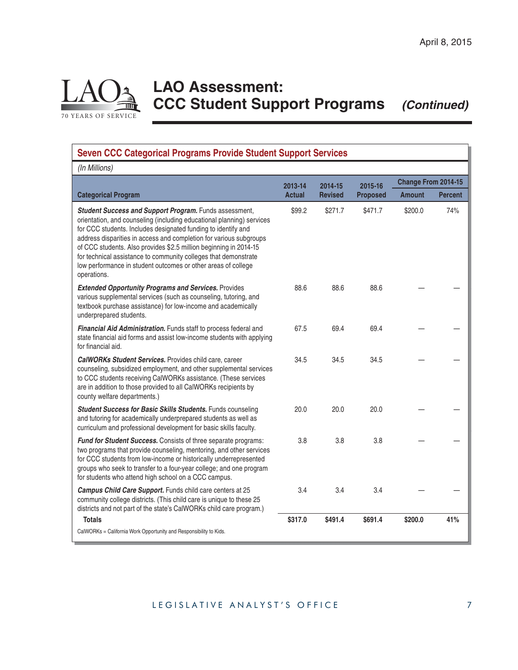**Change From 2014-15 Amount Percent**

20.0 20.0 20.0 — —

 $3.8$   $3.8$   $-$ 

 $3.4$   $3.4$   $3.4$   $-$ 

# LAO 70 YEARS OF SERVICE

## **LAO Assessment: CCC Student Support Programs** *(Continued)*

**Seven CCC Categorical Programs Provide Student Support Services** *(In Millions)* **Categorical Program 2013-14 Actual 2014-15 Revised 2015-16 Proposed** *Student Success and Support Program.* Funds assessment, orientation, and counseling (including educational planning) services for CCC students. Includes designated funding to identify and address disparities in access and completion for various subgroups of CCC students. Also provides \$2.5 million beginning in 2014-15 for technical assistance to community colleges that demonstrate low performance in student outcomes or other areas of college operations. \$99.2 \$271.7 \$471.7 \$200.0 74% *Extended Opportunity Programs and Services.* Provides various supplemental services (such as counseling, tutoring, and textbook purchase assistance) for low-income and academically underprepared students. 88.6 88.6 88.6 — — *Financial Aid Administration.* Funds staff to process federal and state financial aid forms and assist low-income students with applying for financial aid. 67.5 69.4 69.4 — — *CalWORKs Student Services.* Provides child care, career counseling, subsidized employment, and other supplemental services to CCC students receiving CalWORKs assistance. (These services 34.5 34.5 34.5 — —

county welfare departments.) **Student Success for Basic Skills Students.** Funds counseling and tutoring for academically underprepared students as well as curriculum and professional development for basic skills faculty.

are in addition to those provided to all CalWORKs recipients by

*Fund for Student Success.* Consists of three separate programs: two programs that provide counseling, mentoring, and other services for CCC students from low-income or historically underrepresented groups who seek to transfer to a four-year college; and one program for students who attend high school on a CCC campus.

*Campus Child Care Support.* Funds child care centers at 25 community college districts. (This child care is unique to these 25 districts and not part of the state's CalWORKs child care program.)  **Totals \$317.0 \$491.4 \$691.4 \$200.0 41%**

CalWORKs = California Work Opportunity and Responsibility to Kids.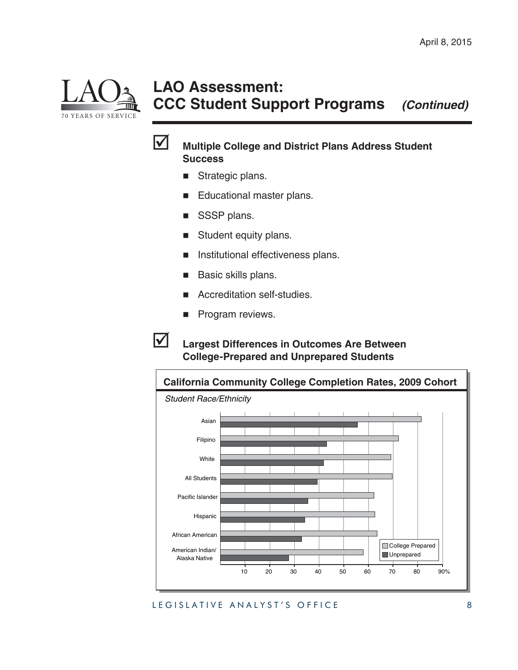

## **LAO Assessment: CCC Student Support Programs** *(Continued)*



#### **Multiple College and District Plans Address Student Success**

- Strategic plans.
- Educational master plans.
- SSSP plans.
- Student equity plans.
- Institutional effectiveness plans.
- Basic skills plans.
- Accreditation self-studies.
- Program reviews.

#### **Largest Differences in Outcomes Are Between College-Prepared and Unprepared Students**

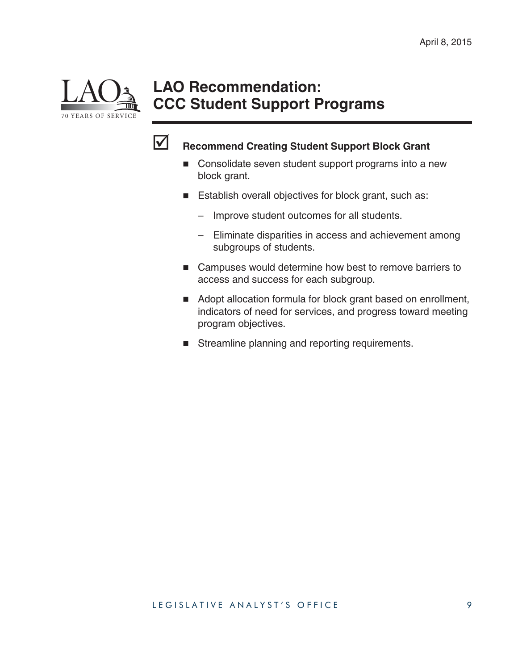

## **LAO Recommendation: CCC Student Support Programs**



## **Recommend Creating Student Support Block Grant**

- Consolidate seven student support programs into a new block grant.
- **Establish overall objectives for block grant, such as:** 
	- Improve student outcomes for all students.
	- Eliminate disparities in access and achievement among subgroups of students.
- Campuses would determine how best to remove barriers to access and success for each subgroup.
- Adopt allocation formula for block grant based on enrollment, indicators of need for services, and progress toward meeting program objectives.
- Streamline planning and reporting requirements.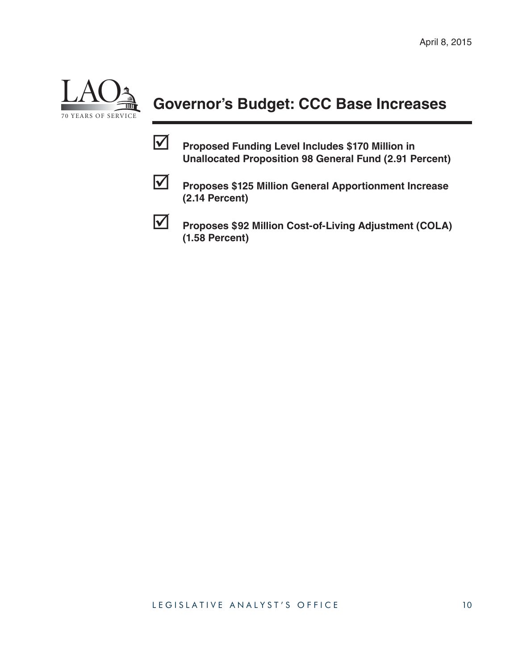

## **Governor's Budget: CCC Base Increases**

 **Proposed Funding Level Includes \$170 Million in Unallocated Proposition 98 General Fund (2.91 Percent)**



**Proposes \$125 Million General Apportionment Increase (2.14 Percent)**



 **Proposes \$92 Million Cost-of-Living Adjustment (COLA) (1.58 Percent)**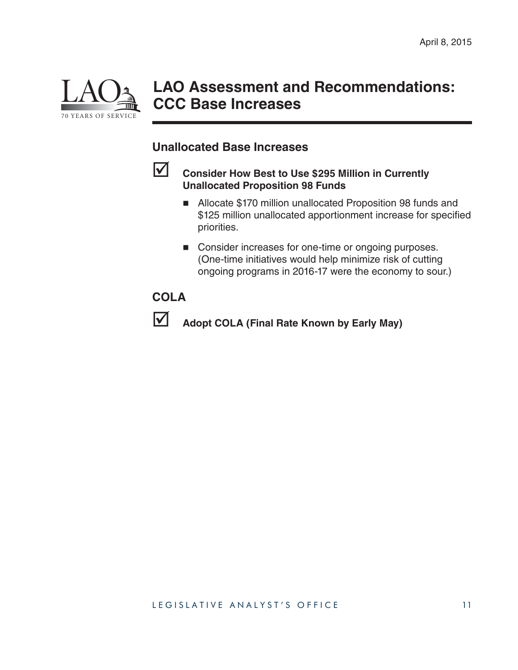

## **LAO Assessment and Recommendations: CCC Base Increases**

#### **Unallocated Base Increases**



#### **Consider How Best to Use \$295 Million in Currently Unallocated Proposition 98 Funds**

- Allocate \$170 million unallocated Proposition 98 funds and \$125 million unallocated apportionment increase for specified priorities.
- Consider increases for one-time or ongoing purposes. (One-time initiatives would help minimize risk of cutting ongoing programs in 2016-17 were the economy to sour.)

#### **COLA**



**Adopt COLA (Final Rate Known by Early May)**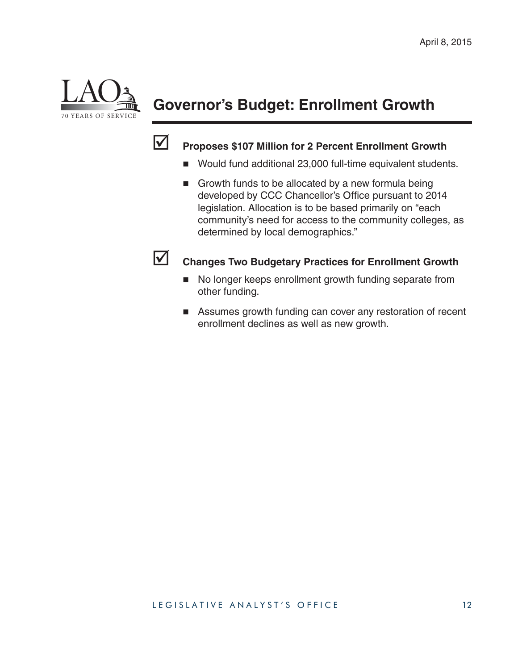

## **Governor's Budget: Enrollment Growth**



## **Proposes \$107 Million for 2 Percent Enrollment Growth**

- Would fund additional 23,000 full-time equivalent students.
- Growth funds to be allocated by a new formula being developed by CCC Chancellor's Office pursuant to 2014 legislation. Allocation is to be based primarily on "each community's need for access to the community colleges, as determined by local demographics."



#### **Changes Two Budgetary Practices for Enrollment Growth**

- No longer keeps enrollment growth funding separate from other funding.
- Assumes growth funding can cover any restoration of recent enrollment declines as well as new growth.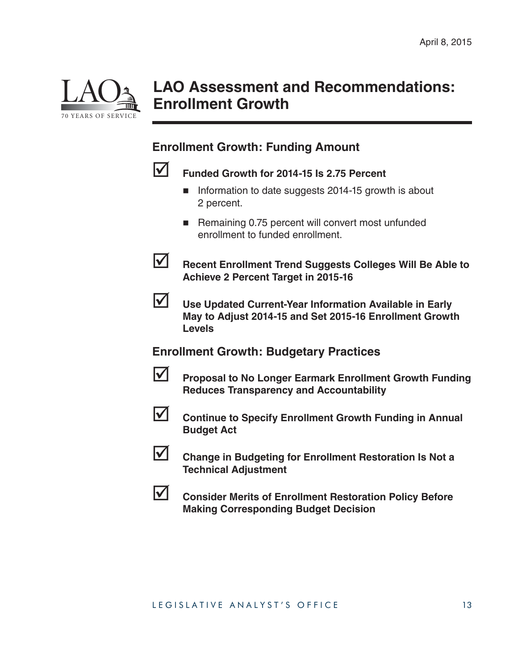

## **LAO Assessment and Recommendations: Enrollment Growth**

#### **Enrollment Growth: Funding Amount**



## **Funded Growth for 2014-15 Is 2.75 Percent**

- **Information to date suggests 2014-15 growth is about** 2 percent.
- Remaining 0.75 percent will convert most unfunded enrollment to funded enrollment.



**Recent Enrollment Trend Suggests Colleges Will Be Able to Achieve 2 Percent Target in 2015-16**



 **Use Updated Current-Year Information Available in Early May to Adjust 2014-15 and Set 2015-16 Enrollment Growth Levels**

#### **Enrollment Growth: Budgetary Practices**



**Proposal to No Longer Earmark Enrollment Growth Funding Reduces Transparency and Accountability**



**Continue to Specify Enrollment Growth Funding in Annual Budget Act**



 **Change in Budgeting for Enrollment Restoration Is Not a Technical Adjustment**



**LAU Consider Merits of Enrollment Restoration Policy Before Making Corresponding Budget Decision**